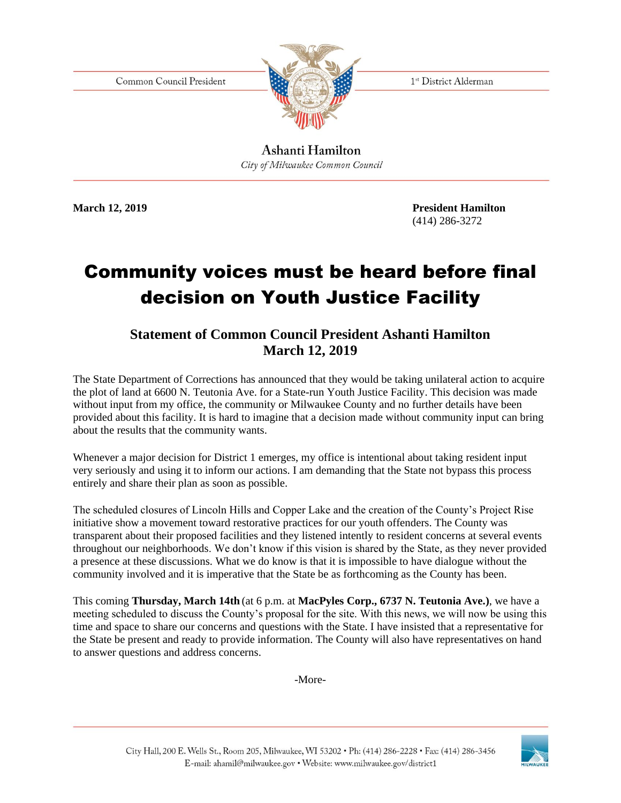Common Council President



1st District Alderman

Ashanti Hamilton City of Milwaukee Common Council

**March 12, 2019 President Hamilton** (414) 286-3272

## Community voices must be heard before final decision on Youth Justice Facility

## **Statement of Common Council President Ashanti Hamilton March 12, 2019**

The State Department of Corrections has announced that they would be taking unilateral action to acquire the plot of land at 6600 N. Teutonia Ave. for a State-run Youth Justice Facility. This decision was made without input from my office, the community or Milwaukee County and no further details have been provided about this facility. It is hard to imagine that a decision made without community input can bring about the results that the community wants.

Whenever a major decision for District 1 emerges, my office is intentional about taking resident input very seriously and using it to inform our actions. I am demanding that the State not bypass this process entirely and share their plan as soon as possible.

The scheduled closures of Lincoln Hills and Copper Lake and the creation of the County's Project Rise initiative show a movement toward restorative practices for our youth offenders. The County was transparent about their proposed facilities and they listened intently to resident concerns at several events throughout our neighborhoods. We don't know if this vision is shared by the State, as they never provided a presence at these discussions. What we do know is that it is impossible to have dialogue without the community involved and it is imperative that the State be as forthcoming as the County has been.

This coming **Thursday, March 14th** (at 6 p.m. at **MacPyles Corp., 6737 N. Teutonia Ave.)**, we have a meeting scheduled to discuss the County's proposal for the site. With this news, we will now be using this time and space to share our concerns and questions with the State. I have insisted that a representative for the State be present and ready to provide information. The County will also have representatives on hand to answer questions and address concerns.

-More-